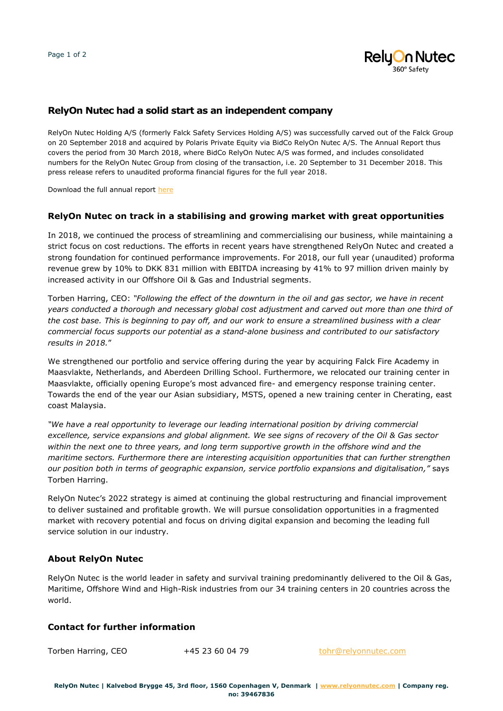

# **RelyOn Nutec had a solid start as an independent company**

RelyOn Nutec Holding A/S (formerly Falck Safety Services Holding A/S) was successfully carved out of the Falck Group on 20 September 2018 and acquired by Polaris Private Equity via BidCo RelyOn Nutec A/S. The Annual Report thus covers the period from 30 March 2018, where BidCo RelyOn Nutec A/S was formed, and includes consolidated numbers for the RelyOn Nutec Group from closing of the transaction, i.e. 20 September to 31 December 2018. This press release refers to unaudited proforma financial figures for the full year 2018.

Download the full annual report [here](https://relyonnutec.com/en_us/about-relyon-nutec/investor-relations)

#### **RelyOn Nutec on track in a stabilising and growing market with great opportunities**

In 2018, we continued the process of streamlining and commercialising our business, while maintaining a strict focus on cost reductions. The efforts in recent years have strengthened RelyOn Nutec and created a strong foundation for continued performance improvements. For 2018, our full year (unaudited) proforma revenue grew by 10% to DKK 831 million with EBITDA increasing by 41% to 97 million driven mainly by increased activity in our Offshore Oil & Gas and Industrial segments.

Torben Harring, CEO: *"Following the effect of the downturn in the oil and gas sector, we have in recent years conducted a thorough and necessary global cost adjustment and carved out more than one third of the cost base. This is beginning to pay off, and our work to ensure a streamlined business with a clear commercial focus supports our potential as a stand-alone business and contributed to our satisfactory results in 2018.*"

We strengthened our portfolio and service offering during the year by acquiring Falck Fire Academy in Maasvlakte, Netherlands, and Aberdeen Drilling School. Furthermore, we relocated our training center in Maasvlakte, officially opening Europe's most advanced fire- and emergency response training center. Towards the end of the year our Asian subsidiary, MSTS, opened a new training center in Cherating, east coast Malaysia.

*"We have a real opportunity to leverage our leading international position by driving commercial excellence, service expansions and global alignment. We see signs of recovery of the Oil & Gas sector within the next one to three years, and long term supportive growth in the offshore wind and the maritime sectors. Furthermore there are interesting acquisition opportunities that can further strengthen our position both in terms of geographic expansion, service portfolio expansions and digitalisation,"* says Torben Harring.

RelyOn Nutec's 2022 strategy is aimed at continuing the global restructuring and financial improvement to deliver sustained and profitable growth. We will pursue consolidation opportunities in a fragmented market with recovery potential and focus on driving digital expansion and becoming the leading full service solution in our industry.

#### **About RelyOn Nutec**

RelyOn Nutec is the world leader in safety and survival training predominantly delivered to the Oil & Gas, Maritime, Offshore Wind and High-Risk industries from our 34 training centers in 20 countries across the world.

### **Contact for further information**

Torben Harring, CEO +45 23 60 04 79 [tohr@relyonnutec.com](mailto:tohr@relyonnutec.com)